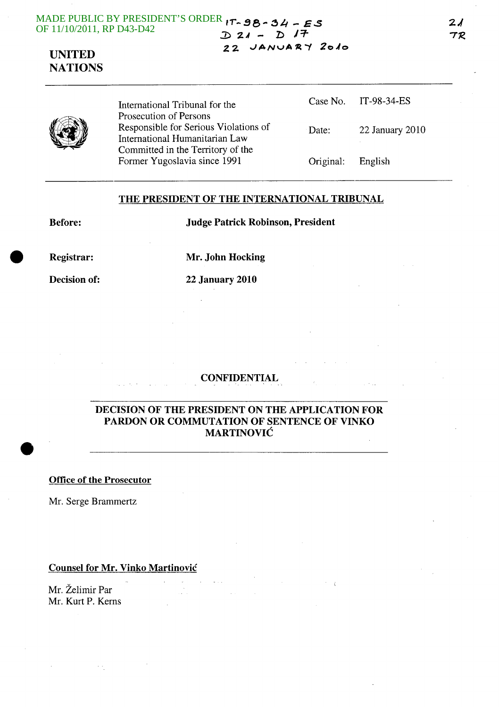#### MADE PUBLIC BY PRESIDENT'S ORDER **"-.98-** ~H **- ES**  OF 11/10/2011, RP D43-D42 *::D 2.1* **- 1:>** *1=1-*

**2.2** ..JANvA~-" **20.10** 

# **UNITED NATIONS**

|  | International Tribunal for the<br>Prosecution of Persons                |           | Case No. IT-98-34-ES |
|--|-------------------------------------------------------------------------|-----------|----------------------|
|  | Responsible for Serious Violations of<br>International Humanitarian Law | Date:     | 22 January 2010      |
|  | Committed in the Territory of the<br>Former Yugoslavia since 1991       | Original: | English              |

### **THE PRESIDENT OF THE INTERNATIONAL TRIBUNAL**

**Before: Judge Patrick Robinson, President** 

•

**Registrar: Mr. John Hocking** 

**Decision of: 22 January 2010** 

### **CONFIDENTIAL**

### **DECISION OF THE PRESIDENT ON THE APPLICATION FOR PARDON OR COMMUTATION OF SENTENCE OF VINKO MARTINOVIC**

**Office of the Prosecutor** 

Mr. Serge Brammertz

### **Counsel for Mr. Vinko Martinovic**

Mr. Zelimir Par Mr. Kurt P. Kerns

 $\sim$   $\sim$ 

 $2<sub>d</sub>$ TR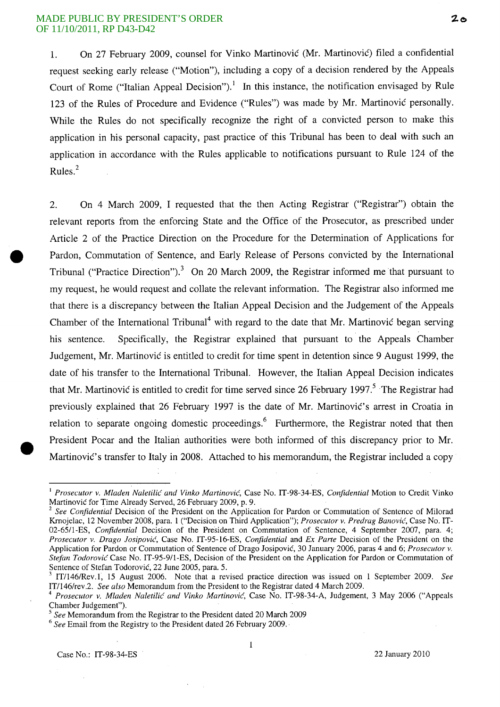1. On 27 February 2009, counsel for Vinko Martinovic (Mr. Martinovic) filed a confidential request seeking early release ("Motion"), including a copy of a decision rendered by the Appeals Court of Rome ("Italian Appeal Decision").<sup>1</sup> In this instance, the notification envisaged by Rule 123 of the Rules of Procedure and Evidence ("Rules") was made by Mr. Martinovic personally. While the Rules do not specifically recognize the right of a convicted person to make this application in his personal capacity, past practice of this Tribunal has been to deal with such an application in accordance with the Rules applicable to notifications pursuant to Rule 124 of the Rules. <sup>2</sup>

2. On 4 March 2009, I requested that the then Acting Registrar ("Registrar") obtain the relevant reports from the enforcing State and the Office of the Prosecutor, as prescribed under Article 2 of the Practice Direction on the Procedure for the Determination of Applications for • Pardon, Commutation of Sentence, and Early Release of Persons convicted by the International Tribunal ("Practice Direction").<sup>3</sup> On 20 March 2009, the Registrar informed me that pursuant to my request, he would request and collate the relevant information. The Registrar also informed me that there is a discrepancy between the Italian Appeal Decision and the Judgement of the Appeals Chamber of the International Tribunal<sup>4</sup> with regard to the date that Mr. Martinovic began serving his sentence. Specifically, the Registrar explained that pursuant to the Appeals Chamber Judgement, Mr. Martinovic is entitled to credit for time spent in detention since 9 August 1999, the date of his transfer to the International Tribunal. However, the Italian Appeal Decision indicates that Mr. Martinovic is entitled to credit for time served since 26 February 1997.<sup>5</sup> The Registrar had previously explained that 26 February 1997 is the date of Mr. Martinović's arrest in Croatia in relation to separate ongoing domestic proceedings.<sup>6</sup> Furthermore, the Registrar noted that then President Pocar and the Italian authorities were both informed of this discrepancy prior to Mr. Martinovic's transfer to Italy in 2008. Attached to his memorandum, the Registrar included a copy

 $\mathbf 1$ 

<sup>I</sup>*Prosecutor* v. *Mladen Naletilic and Vinko Martinovic,* Case No. IT-98-34-ES, *Confidential* Motion to Credit Vinko Martinovic for Time Already Served, 26 February 2009, p. 9.

<sup>&</sup>lt;sup>2</sup> See Confidential Decision of the President on the Application for Pardon or Commutation of Sentence of Milorad Krnojelac, 12 November 2008, para. 1 ("Decision on Third Application"); *Prosecutor* v. *Predrag Banovic,* Case No. IT-02-65/l-ES, *Confidential* Decision of the President on Commutation of Sentence, 4 September 2007, para. 4; *Prosecutor* v. *Drago Josipovic,* Case No. IT-95-16-ES, *Confidential* and *Ex Parte* Decision of the President on the Application for Pardon or Commutation of Sentence of Drago Josipovic, 30 January 2006, paras 4 and 6; *Prosecutor* v. *Stefan Todorovic* Case No. IT-95-9/1-ES, Decision of the President on the Application for Pardon or Commutation of Sentence of Stefan Todorovic, 22 June 2005, para. 5.

<sup>3</sup> IT/l46/Rev.l, 15 August 2006. Note that a revised practice direction was issued on 1 September 2009. *See*  ITI146/rev.2. *See also* Memorandum from the President to the Registrar dated 4 March 2009.

<sup>4</sup>*Prosecutor* v. *Mladen Naletilic and Vinko Martinovic,* Case No. IT-98-34-A, Judgement, 3 May 2006 ("Appeals Chamber Judgement").

*<sup>5</sup> See* Memorandum from the Registrar to the President dated 20 March 2009

*<sup>6</sup> See* Email from the Registry to the President dated 26 February 2009.·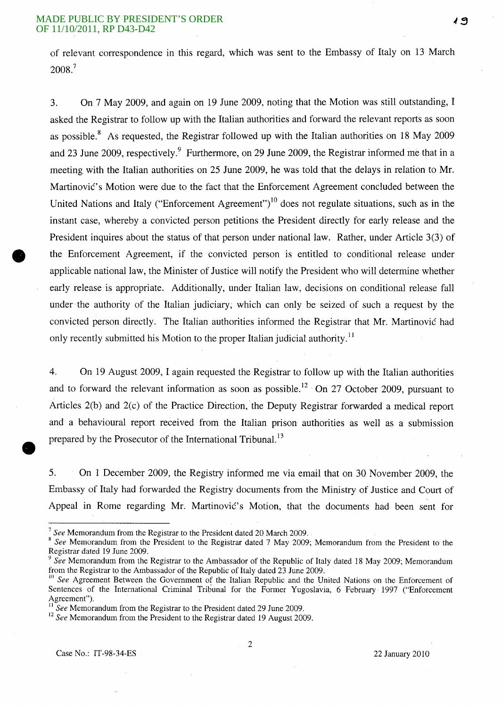of relevant correspondence in this regard, which was sent to the Embassy of Italy on 13 March 2008.<sup>7</sup>

3. On 7 May 2009, and again on 19 June 2009, noting that the Motion was still outstanding, I asked the Registrar to follow up with the Italian authorities and forward the relevant reports as soon as possible.<sup>8</sup> As requested, the Registrar followed up with the Italian authorities on 18 May 2009 and 23 June 2009, respectively. Furthermore, on 29 June 2009, the Registrar informed me that in a meeting with the Italian authorities on 25 June 2009, he was told that the delays in relation to Mr. Martinovic's Motion were due to the fact that the Enforcement Agreement concluded between the United Nations and Italy ("Enforcement Agreement")<sup>10</sup> does not regulate situations, such as in the instant case, whereby a convicted person petitions the President directly for early release and the President inquires about the status of that person under national law. Rather, under Article 3(3) of the Enforcement Agreement, if the convicted person is entitled to conditional release under applicable national law, the Minister of Justice will notify the President who will determine whether early release is appropriate. Additionally, under Italian law, decisions on conditional release fall under the authority of the Italian judiciary, which can only be seized of such a request by the convicted person directly. The Italian authorities informed the Registrar that Mr. Martinovic had only recently submitted his Motion to the proper Italian judicial authority.<sup>11</sup>

4. On 19 August 2009, I again requested the Registrar to follow up with the Italian authorities and to forward the relevant information as soon as possible.<sup>12</sup> On 27 October 2009, pursuant to Articles 2(b) and 2(c) of the Practice Direction, the Deputy Registrar forwarded a medical report and a behavioural report received from the Italian prison authorities as well as a submission prepared by the Prosecutor of the International Tribunal.<sup>13</sup>

5. On 1 December 2009, the Registry informed me via email that on 30 November 2009, the Embassy of Italy had forwarded the Registry documents from the Ministry of Justice and Court of Appeal in Rome regarding Mr. Martinovic's Motion, that the documents had been sent for

<sup>7</sup>*See* Memorandum from the Registrar to the President dated 20 March 2009.

<sup>8</sup>*See* Memorandum from the President to the Registrar dated 7 May 2009; Memorandum from the President to the Registrar dated 19 June 2009.

<sup>&</sup>lt;sup>9</sup> See Memorandum from the Registrar to the Ambassador of the Republic of Italy dated 18 May 2009; Memorandum from the Registrar to the Ambassador of the Republic of Italy dated 23 June 2009.

<sup>&</sup>lt;sup>10</sup> See Agreement Between the Government of the Italian Republic and the United Nations on the Enforcement of Sentences of the International Criminal Tribunal for the Former Yugoslavia, 6 February 1997 ("Enforcement Agreement").

<sup>11</sup>*See* Memorandum from the Registrar to the President dated 29 June 2009.

<sup>&</sup>lt;sup>12</sup> See Memorandum from the President to the Registrar dated 19 August 2009.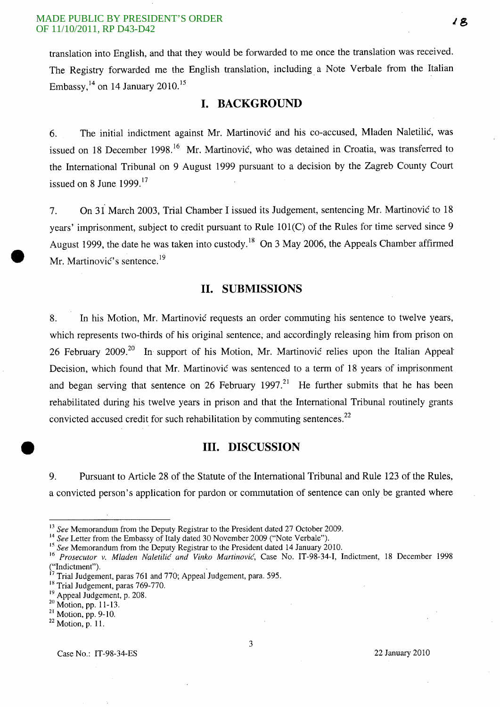translation into English, and that they would be forwarded to me once the translation was received. The Registry forwarded me the English translation, including a Note Verbale from the Italian Embassy,  $^{14}$  on 14 January 2010.<sup>15</sup>

## **I. BACKGROUND**

6. The initial indictment against Mr. Martinovic and his co-accused, Mladen Naletilic, was issued on 18 December 1998.<sup>16</sup> Mr. Martinović, who was detained in Croatia, was transferred to the International Tribunal on 9 August 1999 pursuant to a decision by the Zagreb County Court issued on 8 June  $1999$ .<sup>17</sup>

7. On 31 March 2003, Trial Chamber I issued its Judgement, sentencing Mr. Martinovic to 18 years' imprisonment, subject to credit pursuant to Rule 101(C) of the Rules for time served since 9 August 1999, the date he was taken into custody.<sup>18</sup> On 3 May 2006, the Appeals Chamber affirmed Mr. Martinović's sentence.<sup>19</sup>

## **11. SUBMISSIONS**

8. In his Motion, Mr. Martinovic requests an order commuting his sentence to twelve years, which represents two-thirds of his original sentence; and accordingly releasing him from prison on 26 February 2009.<sup>20</sup> In support of his Motion, Mr. Martinovic relies upon the Italian Appeal Decision, which found that Mr. Martinovic was sentenced to a term of 18 years of imprisonment and began serving that sentence on 26 February 1997.<sup>21</sup> He further submits that he has been rehabilitated during his twelve years in prison and that the International Tribunal routinely grants convicted accused credit for such rehabilitation by commuting sentences.<sup>22</sup>

### **Ill. DISCUSSION**

9. Pursuant to Article 28 of the Statute of the International Tribunal and Rule 123 of the Rules, a convicted person's application for pardon or commutation of sentence can only be granted where

18

<sup>13</sup>*See* Memorandum from the Deputy Registrar to the President dated 27 October 2009.

<sup>&</sup>lt;sup>14</sup> See Letter from the Embassy of Italy dated 30 November 2009 ("Note Verbale").

<sup>&</sup>lt;sup>15</sup> See Memorandum from the Deputy Registrar to the President dated 14 January 2010.

<sup>16</sup>*Prosecutor* v. *Mladen Naletilic and Vinko Martinovic,* Case No. IT-98-34-I, Indictment, 18 December 1998 ("Indictment").

Trial Judgement, paras 761 and 770; Appeal Judgement, para. 595.

<sup>&</sup>lt;sup>18</sup> Trial Judgement, paras 769-770.

<sup>&</sup>lt;sup>19</sup> Appeal Judgement, p. 208.

<sup>20</sup> Motion, pp. 11-13.

<sup>21</sup> Motion, pp. 9-10.

 $22$  Motion, p. 11.